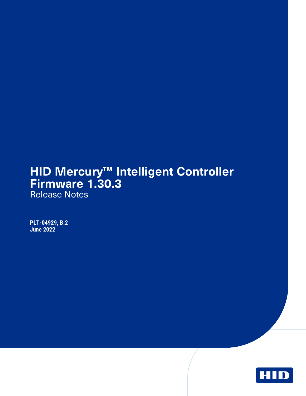# **HID Mercury™ Intelligent Controller Firmware 1.30.3**

Release Notes

**PLT-04929, B.2 June 2022**

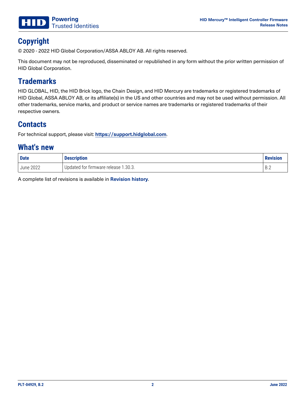

# **Copyright**

© 2020 - 2022 HID Global Corporation/ASSA ABLOY AB. All rights reserved.

This document may not be reproduced, disseminated or republished in any form without the prior written permission of HID Global Corporation.

# **Trademarks**

HID GLOBAL, HID, the HID Brick logo, the Chain Design, and HID Mercury are trademarks or registered trademarks of HID Global, ASSA ABLOY AB, or its affiliate(s) in the US and other countries and may not be used without permission. All other trademarks, service marks, and product or service names are trademarks or registered trademarks of their respective owners.

### **Contacts**

For technical support, please visit: **[https://support.hidglobal.com](https://support.hidglobal.com/)**.

#### **What's new**

| <b>Date</b>            | <b>Description</b>                   | <b>Revision</b> |
|------------------------|--------------------------------------|-----------------|
| <sup>'</sup> June 2022 | Updated for firmware release 1.30.3. | Pク<br>D.Z       |

A complete list of revisions is available in **[Revision](#page-4-0) history**.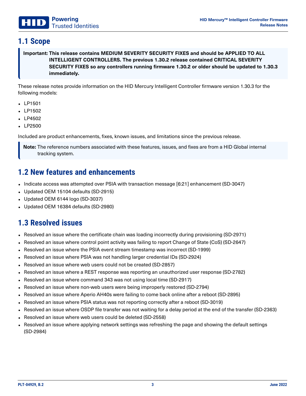#### **1.1 Scope**

**Important: This release contains MEDIUM SEVERITY SECURITY FIXES and should be APPLIED TO ALL INTELLIGENT CONTROLLERS. The previous 1.30.2 release contained CRITICAL SEVERITY SECURITY FIXES so any controllers running firmware 1.30.2 or older should be updated to 1.30.3 immediately.**

These release notes provide information on the HID Mercury Intelligent Controller firmware version 1.30.3 for the following models:

- $\cdot$  LP1501
- $\cdot$  LP1502
- $\cdot$  LP4502
- LP2500

Included are product enhancements, fixes, known issues, and limitations since the previous release.

**Note:** The reference numbers associated with these features, issues, and fixes are from a HID Global internal tracking system.

#### **1.2 New features and enhancements**

- Indicate access was attempted over PSIA with transaction message [6:21] enhancement (SD-3047)
- Updated OEM 15104 defaults (SD-2915)
- Updated OEM 6144  $logo$  (SD-3037)
- Updated OEM 16384 defaults (SD-2980)

#### **1.3 Resolved issues**

- Resolved an issue where the certificate chain was loading incorrectly during provisioning (SD-2971)
- Resolved an issue where control point activity was failing to report Change of State (CoS) (SD-2647)
- Resolved an issue where the PSIA event stream timestamp was incorrect (SD-1999)
- Resolved an issue where PSIA was not handling larger credential IDs (SD-2924)
- Resolved an issue where web users could not be created (SD-2857)
- Resolved an issue where a REST response was reporting an unauthorized user response (SD-2782)
- Resolved an issue where command 343 was not using local time (SD-2917)
- Resolved an issue where non-web users were being improperly restored (SD-2794)
- <sup>l</sup> Resolved an issue where Aperio AH40s were failing to come back online after a reboot (SD-2895)
- Resolved an issue where PSIA status was not reporting correctly after a reboot (SD-3019)
- <sup>l</sup> Resolved an issue where OSDP file transfer was not waiting for a delay period at the end of the transfer (SD-2363)
- Resolved an issue where web users could be deleted (SD-2558)
- Resolved an issue where applying network settings was refreshing the page and showing the default settings (SD-2984)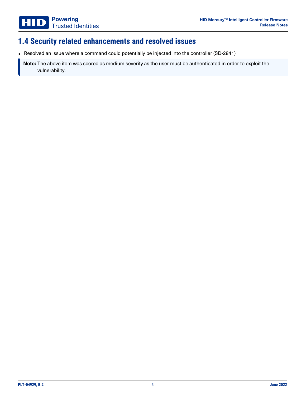# **1.4 Security related enhancements and resolved issues**

• Resolved an issue where a command could potentially be injected into the controller (SD-2841)

**Note:** The above item was scored as medium severity as the user must be authenticated in order to exploit the vulnerability.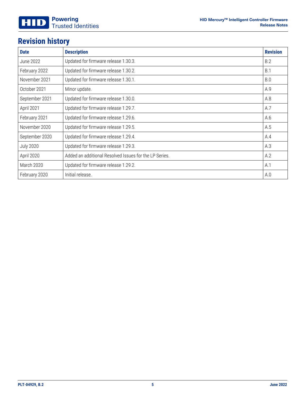# <span id="page-4-0"></span>**Revision history**

| <b>Date</b>      | <b>Description</b>                                     | <b>Revision</b> |
|------------------|--------------------------------------------------------|-----------------|
| June 2022        | Updated for firmware release 1.30.3.                   | B.2             |
| February 2022    | Updated for firmware release 1.30.2.                   | B.1             |
| November 2021    | Updated for firmware release 1.30.1.                   | <b>B.O</b>      |
| October 2021     | Minor update.                                          | A.9             |
| September 2021   | Updated for firmware release 1.30.0.                   | A.8             |
| April 2021       | Updated for firmware release 1.29.7.                   | A.7             |
| February 2021    | Updated for firmware release 1.29.6.                   | A.6             |
| November 2020    | Updated for firmware release 1.29.5.                   | A.5             |
| September 2020   | Updated for firmware release 1.29.4.                   | A.4             |
| <b>July 2020</b> | Updated for firmware release 1.29.3.                   | A.3             |
| April 2020       | Added an additional Resolved Issues for the LP Series. | A.2             |
| March 2020       | Updated for firmware release 1.29.2.                   | A.1             |
| February 2020    | Initial release.                                       | A.0             |